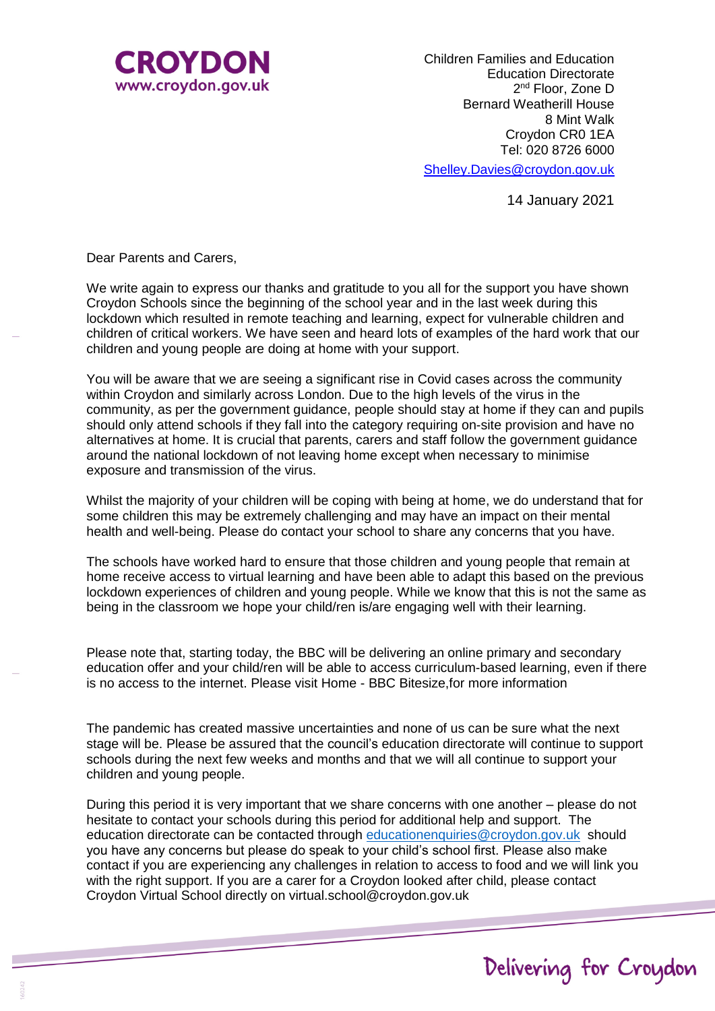

Children Families and Education Education Directorate 2<sup>nd</sup> Floor, Zone D Bernard Weatherill House 8 Mint Walk Croydon CR0 1EA Tel: 020 8726 6000

[Shelley.Davies@croydon.gov.uk](mailto:Shelley.Davies@croydon.gov.uk)

14 January 2021

Dear Parents and Carers,

We write again to express our thanks and gratitude to you all for the support you have shown Croydon Schools since the beginning of the school year and in the last week during this lockdown which resulted in remote teaching and learning, expect for vulnerable children and children of critical workers. We have seen and heard lots of examples of the hard work that our children and young people are doing at home with your support.

You will be aware that we are seeing a significant rise in Covid cases across the community within Croydon and similarly across London. Due to the high levels of the virus in the community, as per the government guidance, people should stay at home if they can and pupils should only attend schools if they fall into the category requiring on-site provision and have no alternatives at home. It is crucial that parents, carers and staff follow the government guidance around the national lockdown of not leaving home except when necessary to minimise exposure and transmission of the virus.

Whilst the majority of your children will be coping with being at home, we do understand that for some children this may be extremely challenging and may have an impact on their mental health and well-being. Please do contact your school to share any concerns that you have.

The schools have worked hard to ensure that those children and young people that remain at home receive access to virtual learning and have been able to adapt this based on the previous lockdown experiences of children and young people. While we know that this is not the same as being in the classroom we hope your child/ren is/are engaging well with their learning.

Please note that, starting today, the BBC will be delivering an online primary and secondary education offer and your child/ren will be able to access curriculum-based learning, even if there is no access to the internet. Please visit Home - BBC Bitesize,for more information

The pandemic has created massive uncertainties and none of us can be sure what the next stage will be. Please be assured that the council's education directorate will continue to support schools during the next few weeks and months and that we will all continue to support your children and young people.

During this period it is very important that we share concerns with one another – please do not hesitate to contact your schools during this period for additional help and support. The education directorate can be contacted through [educationenquiries@croydon.gov.uk](mailto:educationenquiries@croydon.gov.uk) should you have any concerns but please do speak to your child's school first. Please also make contact if you are experiencing any challenges in relation to access to food and we will link you with the right support. If you are a carer for a Croydon looked after child, please contact Croydon Virtual School directly on virtual.school@croydon.gov.uk

## Delivering for Croydon